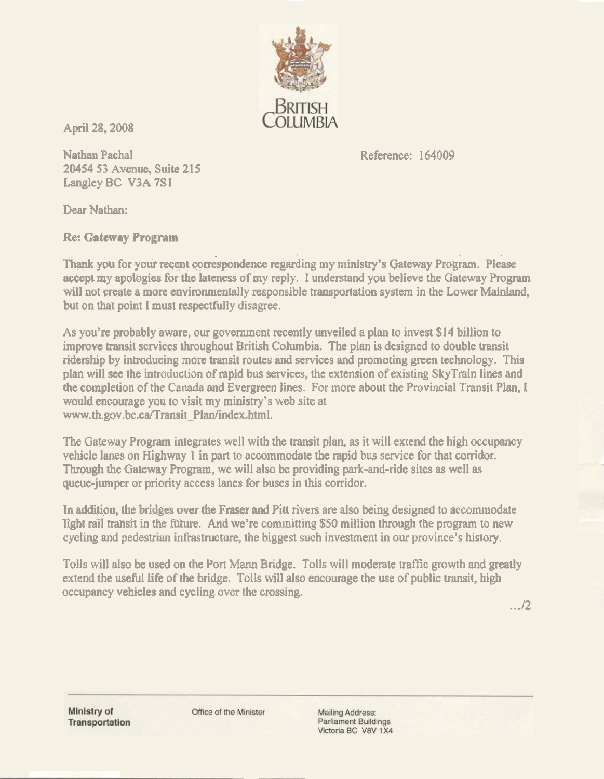

**April 28,2008** 

**Nathan Pachal 20454 53 Avenue, Suite 21 5 Langlcy BC V3A 7SI** 

**Reference: 164009** 

**Dear** Nathan:

**Re: Gateway Program** 

**Thank you for your recent correspondence regarding my ministry's Gateway Program. Please awpt my apologies fbr the lateness of my reply. 1 understand you believe the Gateway Program will not Greg% a more environmentally responsible transportation system in the Lower Mainland, but on that point I must respectlily disagree.** 

**As you're probably aware, our government recently unveiled a plan to invest \$1 4 billion to improve transit services throughout British Columbia, The plan is designed to double transit ridership by introducing** more **transit routes and services and promoting green technology. This plan will see the introduction of rapid bus services, the extension of existing SkyTrain lines and**  *the* **completion of the Canada and Evergreen lines. For more about the Provincial Transit Plan, I would encourage you to visit my ministry's web site at**  www.th.gov.bc.ca/Transit Plan/index.html.

**The Gateway Program integrates well with the transit plan, as it will extend the high occupancy vehicle lanes on Highway 1 in part to accommodate the rapid bus service for that corridor. Through the Gateway Program, we will also be providing park-and-ride sites as well as queue-jumper or priority access lanes for buses in this corridor.** 

**In addition, the Mdga over the Fraser mi Pin Pivers are dso king designed to accommodate Tight rall trarrs'rt in the fifuture. And we're committing \$50 miliion through fie program to new cycling and pedestrian infrastructure, the biggest such investment in our province's history.** 

**ToIis will also be used on the Port Mann Bridge. Tolls will moderate traffic growth and greatly extend the useful life of the bridge.** Tolls will also encourage the use of public transit, high **occupancy vehicles and cycling over the crossing.** 

 $1.12$ 

Ministry of **Transportation**  Office of the Minister

**Mailing Address: Parliament Buildings** Victoria BC V8V 1X4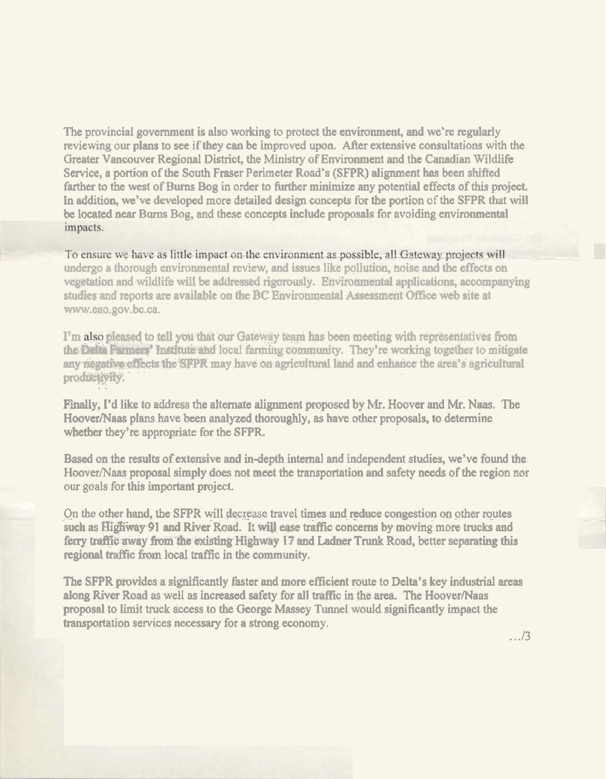The provincial government is also working to protect the environment, and we're regularly reviewing our plans to see if they can be improved upon. After extensive consultations with the Greater Vancouver Regional District, the Ministry of Environment and the Canadian Wildlife Service, a portion of the South Fraser Perimeter Road's (SFPR) alignment has been shifted farther to the west of Burns Bog in order to further minimize any potential effects of this project. In addition, we've developed more detailed design concepts for the portion of the SFPR that will be located near Burns Bog, and these concepts include proposals for avoiding environmental impacts.

To ensure we have as little impact on the environment as possible, all Gateway projects will undergo a thorough environmental review, and issues like pollution, hoise and the effects on vegetation and wildlife will be addressed rigorously. Environmental applications, accompanying studies and reports are available on the BC Environmental Assessment Office web site at www.eao.gov.bc.ca.

I'm also pleased to tell you that our Gateway team has been meeting with representatives from the Delta Farmers' institute and local farming community. They're working together to mitigate any negative effects the SFPR may have on agricultural land and enhance the area's agricultural productivity.

Finally, I'd like to address the alternate alignment proposed by Mr. Hoover and Mr. Naas. The Hoover/Naas plans have been analyzed thoroughly, as have other proposals, to determine whether they're appropriate for the SFPR.

Based on the results of extensive and in-depth internal and independent studies, we've found the Hoover/Naas proposal simply does not meet the transportation and safety needs of the region nor our goals for this important project.

On the other hand, the SFPR will decrease travel times and reduce congestion on other routes such as Highway 91 and River Road. It will ease traffic concerns by moving more trucks and ferry traffic away from the existing Highway 17 and Ladner Trunk Road, better separating this regional traffic from local traffic in the community.

The SFPR provides a significantly faster and more efficient route to Delta's key industrial areas along River Road as well as increased safety for all traffic in the area. The Hoover/Naas proposal to limit truck access to the George Massey Tunnel would significantly impact the transportation services necessary for a strong economy.

 $.../3$